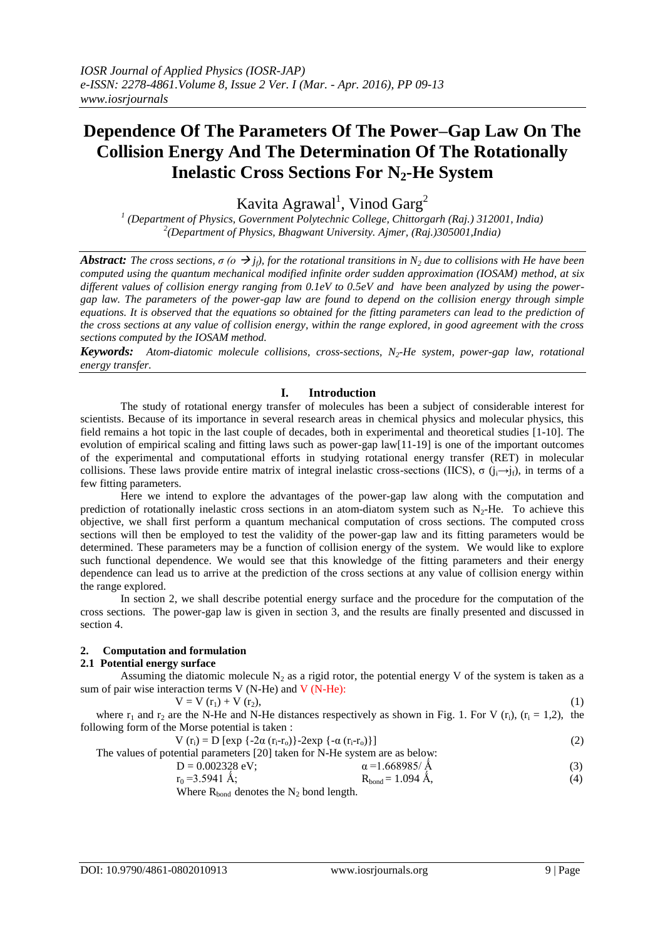# **Dependence Of The Parameters Of The Power–Gap Law On The Collision Energy And The Determination Of The Rotationally Inelastic Cross Sections For N2-He System**

Kavita Agrawal<sup>1</sup>, Vinod Garg<sup>2</sup>

*1 (Department of Physics, Government Polytechnic College, Chittorgarh (Raj.) 312001, India) 2 (Department of Physics, Bhagwant University. Ajmer, (Raj.)305001,India)*

*Abstract: The cross sections,*  $\sigma$  *(o*  $\rightarrow$  *j<sub>f</sub>), for the rotational transitions in N<sub>2</sub> due to collisions with He have been computed using the quantum mechanical modified infinite order sudden approximation (IOSAM) method, at six different values of collision energy ranging from 0.1eV to 0.5eV and have been analyzed by using the powergap law. The parameters of the power-gap law are found to depend on the collision energy through simple equations. It is observed that the equations so obtained for the fitting parameters can lead to the prediction of the cross sections at any value of collision energy, within the range explored, in good agreement with the cross sections computed by the IOSAM method.*

*Keywords: Atom-diatomic molecule collisions, cross-sections, N2-He system, power-gap law, rotational energy transfer.*

# **I. Introduction**

The study of rotational energy transfer of molecules has been a subject of considerable interest for scientists. Because of its importance in several research areas in chemical physics and molecular physics, this field remains a hot topic in the last couple of decades, both in experimental and theoretical studies [1-10]. The evolution of empirical scaling and fitting laws such as power-gap law[11-19] is one of the important outcomes of the experimental and computational efforts in studying rotational energy transfer (RET) in molecular collisions. These laws provide entire matrix of integral inelastic cross-sections (IICS),  $\sigma$  ( $i \rightarrow i_f$ ), in terms of a few fitting parameters.

Here we intend to explore the advantages of the power-gap law along with the computation and prediction of rotationally inelastic cross sections in an atom-diatom system such as  $N<sub>2</sub>$ -He. To achieve this objective, we shall first perform a quantum mechanical computation of cross sections. The computed cross sections will then be employed to test the validity of the power-gap law and its fitting parameters would be determined. These parameters may be a function of collision energy of the system. We would like to explore such functional dependence. We would see that this knowledge of the fitting parameters and their energy dependence can lead us to arrive at the prediction of the cross sections at any value of collision energy within the range explored.

In section 2, we shall describe potential energy surface and the procedure for the computation of the cross sections. The power-gap law is given in section 3, and the results are finally presented and discussed in section 4.

### **2. Computation and formulation**

### **2.1 Potential energy surface**

Assuming the diatomic molecule  $N_2$  as a rigid rotor, the potential energy V of the system is taken as a sum of pair wise interaction terms V (N-He) and V (N-He):

 $V = V(r_1) + V(r_2),$  (1) where  $r_1$  and  $r_2$  are the N-He and N-He distances respectively as shown in Fig. 1. For V ( $r_i$ ), ( $r_i$  = 1,2), the following form of the Morse potential is taken :

$$
V(r_i) = D [\exp \{-2\alpha (r_i - r_o)\} - 2\exp \{-\alpha (r_i - r_o)\}]
$$
 (2)

The values of potential parameters [20] taken for N-He system are as below:  
\n
$$
D = 0.002328 \text{ eV}; \qquad \alpha = 1.668985/\text{\AA}
$$
\n(3)

$$
F_0 = 3.5941 \, \text{\AA}; \quad\n \begin{array}{c}\n a - 1.0039637 \, \text{A} \\
R_{\text{bond}} = 1.094 \, \text{\AA}, \quad\n \end{array}\n \tag{3}
$$

Where  $R_{bond}$  denotes the  $N_2$  bond length.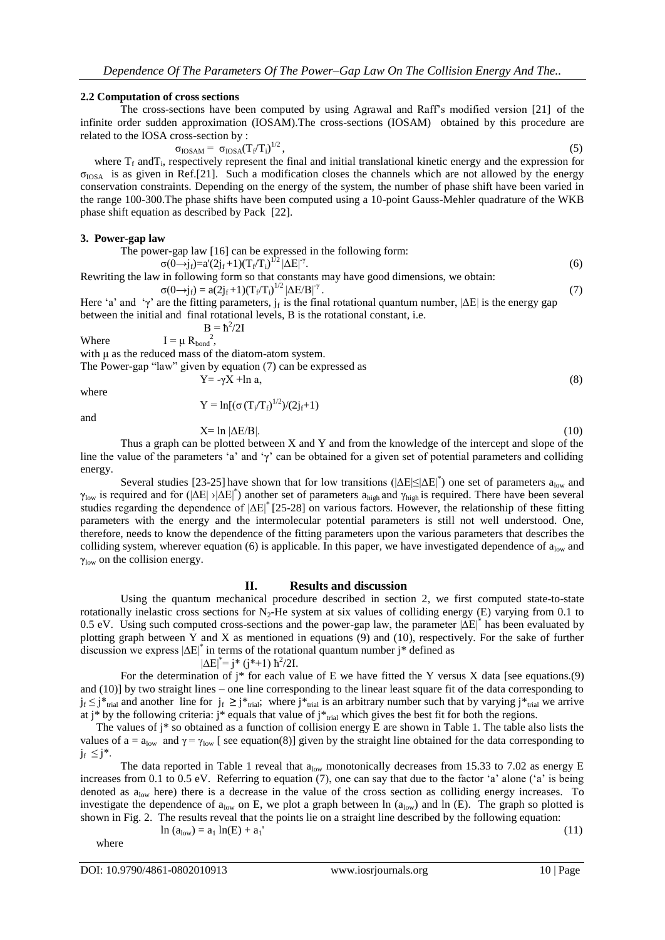### **2.2 Computation of cross sections**

The cross-sections have been computed by using Agrawal and Raff"s modified version [21]of the infinite order sudden approximation (IOSAM).The cross-sections (IOSAM) obtained by this procedure are related to the IOSA cross-section by :

$$
\sigma_{\text{IOSAM}} = \sigma_{\text{IOSA}} (T_f / T_i)^{1/2}, \qquad (5)
$$

where  $T_f$  and  $T_i$ , respectively represent the final and initial translational kinetic energy and the expression for  $\sigma_{\text{IOSA}}$  is as given in Ref.[21]. Such a modification closes the channels which are not allowed by the energy conservation constraints. Depending on the energy of the system, the number of phase shift have been varied in the range 100-300.The phase shifts have been computed using a 10-point Gauss-Mehler quadrature of the WKB phase shift equation as described by Pack [22].

#### **3. Power-gap law**

The power-gap law [16] can be expressed in the following form:  $\hspace{1.6cm}$ . (6)

$$
\sigma(\vec{0} \rightarrow j_f) = a'(2j_f+1)(T_f/T_i)^{1/2} |\Delta E|^{\gamma}
$$

Rewriting the law in following form so that constants may have good dimensions, we obtain:

$$
\sigma(0 \rightarrow j_f) = a(2j_f + 1)(T_f/T_i)^{1/2} |\Delta E/B|^{\gamma}.
$$
\n(7)

\nHere 'a' and 'y' are the fitting parameters,  $j_f$  is the final rotational quantum number,  $|\Delta E|$  is the energy gap between the initial and final rotational levels, B is the rotational constant, i.e.

\n
$$
B = \hbar^2/2I
$$

$$
B = \hbar^{2}
$$
 Where 
$$
I = \mu R_{bond}^{2},
$$

with μ as the reduced mass of the diatom-atom system.

The Power-gap "law" given by equation (7) can be expressed as

$$
Y = -\gamma X + \ln a,\tag{8}
$$

where and

$$
Y = \ln[(\sigma (T_i/T_f)^{1/2})/(2j_f+1)]
$$

$$
X= \ln |\Delta E/B|.
$$

 $X= \ln |\Delta E/B|$ . (10) Thus a graph can be plotted between X and Y and from the knowledge of the intercept and slope of the line the value of the parameters 'a' and ' $\gamma$ ' can be obtained for a given set of potential parameters and colliding energy.

Several studies [23-25] have shown that for low transitions ( $|\Delta E| \le |\Delta E|^*$ ) one set of parameters  $a_{low}$  and  $\gamma_{\text{low}}$  is required and for ( $|\Delta E|$ ) $|\Delta E|^*$ ) another set of parameters a<sub>high</sub> and  $\gamma_{\text{high}}$  is required. There have been several studies regarding the dependence of  $|\Delta E|^*$  [25-28] on various factors. However, the relationship of these fitting parameters with the energy and the intermolecular potential parameters is still not well understood. One, therefore, needs to know the dependence of the fitting parameters upon the various parameters that describes the colliding system, wherever equation (6) is applicable. In this paper, we have investigated dependence of  $a_{\text{low}}$  and  $\gamma_{\text{low}}$  on the collision energy.

### **II. Results and discussion**

Using the quantum mechanical procedure described in section 2, we first computed state-to-state rotationally inelastic cross sections for  $N_2$ -He system at six values of colliding energy (E) varying from 0.1 to 0.5 eV. Using such computed cross-sections and the power-gap law, the parameter |∆E|\* has been evaluated by plotting graph between Y and X as mentioned in equations (9) and (10), respectively. For the sake of further discussion we express |∆E|\* in terms of the rotational quantum number j\* defined as

$$
|\Delta E|^* = j^* (j^*+1) \hbar^2 / 2I.
$$

For the determination of  $j^*$  for each value of E we have fitted the Y versus X data [see equations.(9) and (10)] by two straight lines – one line corresponding to the linear least square fit of the data corresponding to  $j_f \leq j^*_{\text{trial}}$  and another line for  $j_f \geq j^*_{\text{trial}}$ ; where  $j^*_{\text{trial}}$  is an arbitrary number such that by varying  $j^*_{\text{trial}}$  we arrive at j\* by the following criteria: j\* equals that value of j\* $_{trial}$  which gives the best fit for both the regions.

The values of j\* so obtained as a function of collision energy E are shown in Table 1. The table also lists the values of  $a = a_{low}$  and  $\gamma = \gamma_{low}$  [ see equation(8)] given by the straight line obtained for the data corresponding to  $j_f \leq j^*$ .

The data reported in Table 1 reveal that  $a_{low}$  monotonically decreases from 15.33 to 7.02 as energy E increases from 0.1 to 0.5 eV. Referring to equation  $(7)$ , one can say that due to the factor 'a' alone ('a' is being denoted as  $a_{low}$  here) there is a decrease in the value of the cross section as colliding energy increases. To investigate the dependence of  $a_{low}$  on E, we plot a graph between ln  $(a_{low})$  and ln (E). The graph so plotted is shown in Fig. 2. The results reveal that the points lie on a straight line described by the following equation:

$$
\ln (a_{low}) = a_1 \ln(E) + a_1
$$

where

(11)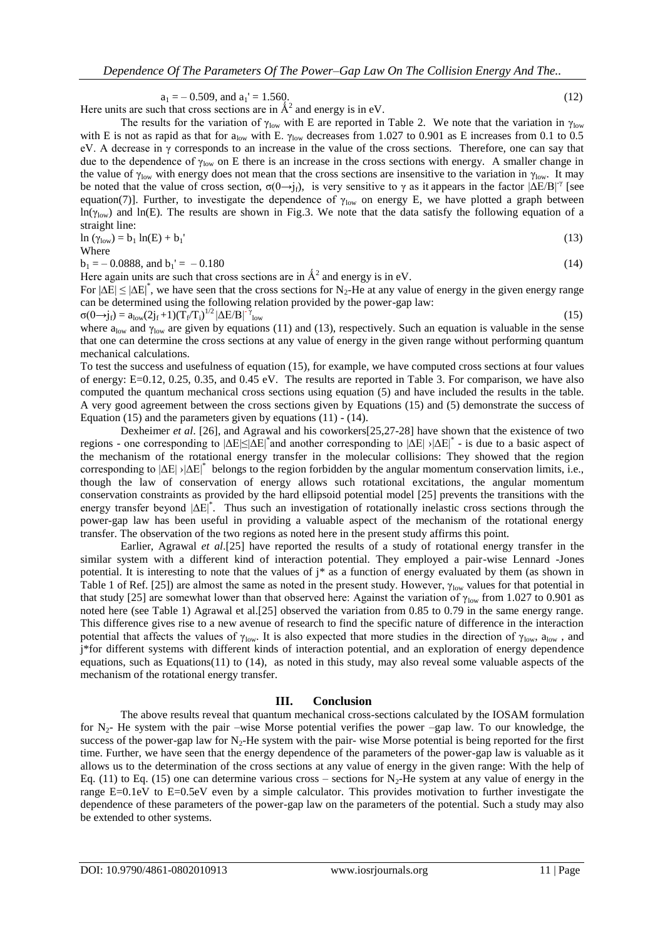$a_1 = -0.509$ , and  $a_1' = 1.560$ . (12)

Here units are such that cross sections are in  $\AA^2$  and energy is in eV. The results for the variation of  $\gamma_{\text{low}}$  with E are reported in Table 2. We note that the variation in  $\gamma_{\text{low}}$ with E is not as rapid as that for  $a_{\text{low}}$  with E.  $\gamma_{\text{low}}$  decreases from 1.027 to 0.901 as E increases from 0.1 to 0.5 eV. A decrease in  $\gamma$  corresponds to an increase in the value of the cross sections. Therefore, one can say that due to the dependence of  $\gamma_{\text{low}}$  on E there is an increase in the cross sections with energy. A smaller change in the value of  $\gamma_{\text{low}}$  with energy does not mean that the cross sections are insensitive to the variation in  $\gamma_{\text{low}}$ . It may be noted that the value of cross section,  $\sigma(\theta \rightarrow j_f)$ , is very sensitive to  $\gamma$  as it appears in the factor  $|\Delta E/B|^{\gamma}$  [see equation(7)]. Further, to investigate the dependence of  $\gamma_{low}$  on energy E, we have plotted a graph between ln( $\gamma_{\text{low}}$ ) and ln(E). The results are shown in Fig.3. We note that the data satisfy the following equation of a straight line:

$$
\ln (\gamma_{\text{low}}) = b_1 \ln(E) + b_1' \tag{13}
$$

Where

 $b_1 = -0.0888$ , and  $b_1' = -0.180$  (14)

Here again units are such that cross sections are in  $\AA^2$  and energy is in eV.

For  $|\Delta E| \le |\Delta E|^*$ , we have seen that the cross sections for N<sub>2</sub>-He at any value of energy in the given energy range can be determined using the following relation provided by the power-gap law:

 $\sigma(0 \rightarrow j_f) = a_{\text{low}}(2j_f+1) (\overline{T}_f/\overline{T}_i)^{1/2} |\Delta E/B|^{-\gamma}$ 

 $\mathcal{L}_{\text{low}}$  (15)

where  $a_{\text{low}}$  and  $\gamma_{\text{low}}$  are given by equations (11) and (13), respectively. Such an equation is valuable in the sense that one can determine the cross sections at any value of energy in the given range without performing quantum mechanical calculations.

To test the success and usefulness of equation (15), for example, we have computed cross sections at four values of energy: E=0.12, 0.25, 0.35, and 0.45 eV. The results are reported in Table 3. For comparison, we have also computed the quantum mechanical cross sections using equation (5) and have included the results in the table. A very good agreement between the cross sections given by Equations (15) and (5) demonstrate the success of Equation (15) and the parameters given by equations  $(11) - (14)$ .

Dexheimer *et al*. [26], and Agrawal and his coworkers[25,27-28] have shown that the existence of two regions - one corresponding to  $|\Delta E| \le |\Delta E|^*$  and another corresponding to  $|\Delta E|$  > $|\Delta E|^*$  - is due to a basic aspect of the mechanism of the rotational energy transfer in the molecular collisions: They showed that the region corresponding to  $|\Delta E|$  > $|\Delta E|^*$  belongs to the region forbidden by the angular momentum conservation limits, i.e., though the law of conservation of energy allows such rotational excitations, the angular momentum conservation constraints as provided by the hard ellipsoid potential model [25] prevents the transitions with the energy transfer beyond  $|\Delta E|^*$ . Thus such an investigation of rotationally inelastic cross sections through the power-gap law has been useful in providing a valuable aspect of the mechanism of the rotational energy transfer. The observation of the two regions as noted here in the present study affirms this point.

Earlier, Agrawal *et al*.[25] have reported the results of a study of rotational energy transfer in the similar system with a different kind of interaction potential. They employed a pair-wise Lennard -Jones potential. It is interesting to note that the values of j\* as a function of energy evaluated by them (as shown in Table 1 of Ref. [25]) are almost the same as noted in the present study. However,  $\gamma_{\text{low}}$  values for that potential in that study [25] are somewhat lower than that observed here: Against the variation of γ<sub>low</sub> from 1.027 to 0.901 as noted here (see Table 1) Agrawal et al.[25] observed the variation from 0.85 to 0.79 in the same energy range. This difference gives rise to a new avenue of research to find the specific nature of difference in the interaction potential that affects the values of  $\gamma_{\text{low}}$ . It is also expected that more studies in the direction of  $\gamma_{\text{low}}$ , and j\*for different systems with different kinds of interaction potential, and an exploration of energy dependence equations, such as Equations(11) to (14), as noted in this study, may also reveal some valuable aspects of the mechanism of the rotational energy transfer.

## **III. Conclusion**

The above results reveal that quantum mechanical cross-sections calculated by the IOSAM formulation for  $N_2$ - He system with the pair –wise Morse potential verifies the power –gap law. To our knowledge, the success of the power-gap law for  $N_2$ -He system with the pair- wise Morse potential is being reported for the first time. Further, we have seen that the energy dependence of the parameters of the power-gap law is valuable as it allows us to the determination of the cross sections at any value of energy in the given range: With the help of Eq. (11) to Eq. (15) one can determine various cross – sections for  $N_2$ -He system at any value of energy in the range E=0.1eV to E=0.5eV even by a simple calculator. This provides motivation to further investigate the dependence of these parameters of the power-gap law on the parameters of the potential. Such a study may also be extended to other systems.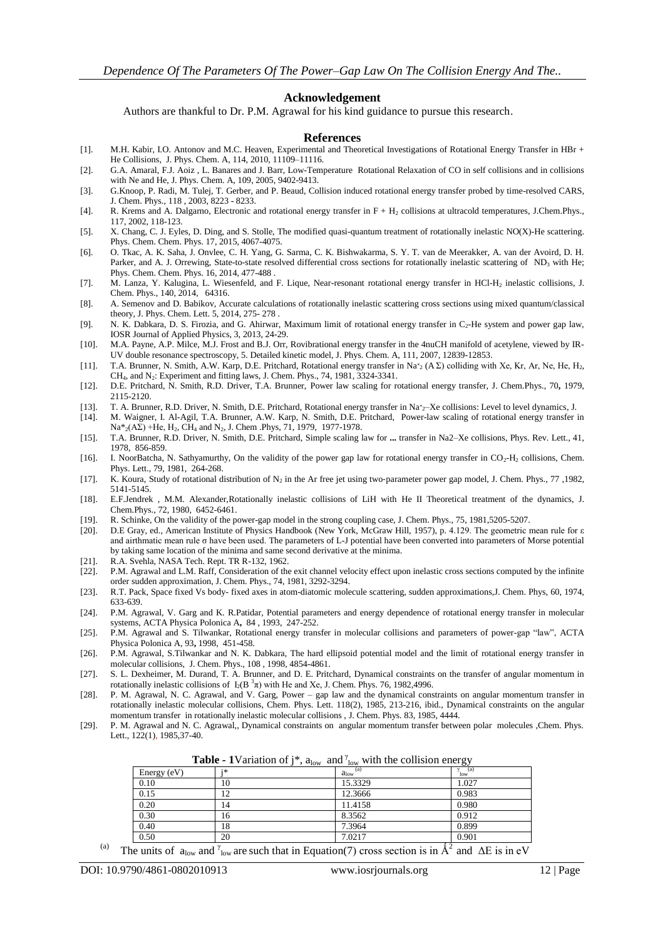#### **Acknowledgement**

Authors are thankful to Dr. P.M. Agrawal for his kind guidance to pursue this research.

#### **References**

- [1]. M.H. Kabir, I.O. Antonov and M.C. Heaven, Experimental and Theoretical Investigations of Rotational Energy Transfer in HBr + He Collisions, J. Phys. Chem. A, 114, 2010, 11109–11116.
- [2]. G.A. Amaral, F.J. Aoiz , L. Banares and J. Barr, Low-Temperature Rotational Relaxation of CO in self collisions and in collisions with Ne and He, J. Phys. Chem. A, 109, 2005, 9402-9413.
- [3]. G.Knoop, P. Radi, M. Tulej, T. Gerber, and P. Beaud, Collision induced rotational energy transfer probed by time-resolved CARS, J. Chem. Phys., 118 , 2003, 8223 - 8233.
- [4]. R. Krems and A. Dalgarno, Electronic and rotational energy transfer in F + H<sup>2</sup> collisions at ultracold temperatures, J.Chem.Phys., 117, 2002, 118-123.
- [5]. X. Chang, C. J. Eyles, D. Ding, and S. Stolle, The modified quasi-quantum treatment of rotationally inelastic NO(X)-He scattering. Phys. Chem. Chem. Phys. 17, 2015, 4067-4075.
- [6]. O. Tkac, A. K. Saha, J. Onvlee, C. H. Yang, G. Sarma, C. K. Bishwakarma, S. Y. T. van de Meerakker, A. van der Avoird, D. H. Parker, and A. J. Orrewing, State-to-state resolved differential cross sections for rotationally inelastic scattering of ND<sub>3</sub> with He; Phys. Chem. Chem. Phys. 16, 2014, 477-488 .
- [7]. M. Lanza, Y. Kalugina, L. Wiesenfeld, and F. Lique, Near-resonant rotational energy transfer in HCl-H<sup>2</sup> inelastic collisions, J. Chem. Phys., 140, 2014, 64316.
- [8]. A. Semenov and D. Babikov, Accurate calculations of rotationally inelastic scattering cross sections using mixed quantum/classical theory, J. Phys. Chem. Lett. 5, 2014, 275- 278 .
- [9]. N. K. Dabkara, D. S. Firozia, and G. Ahirwar, Maximum limit of rotational energy transfer in C<sub>2</sub>-He system and power gap law, IOSR Journal of Applied Physics, 3, 2013, 24-29.
- [10]. M.A. Payne, A.P. Milce, M.J. Frost and B.J. Orr, Rovibrational energy transfer in the 4nuCH manifold of acetylene, viewed by IR-UV double resonance spectroscopy, 5. Detailed kinetic model, J. Phys. Chem. A, 111, 2007, 12839-12853.
- [11]. T.A. Brunner, N. Smith, A.W. Karp, D.E. Pritchard, Rotational energy transfer in Na<sup>\*</sup><sub>2</sub> (A  $\Sigma$ ) colliding with Xe, Kr, Ar, Ne, He, H<sub>2</sub>, CH4, and N2: Experiment and fitting laws, J. Chem. Phys., 74, 1981, 3324-3341.
- [12]. D.E. Pritchard, N. Smith, R.D. Driver, T.A. Brunner, Power law scaling for rotational energy transfer, J. Chem.Phys., 70**,** 1979, 2115-2120.
- [13]. T. A. Brunner, R.D. Driver, N. Smith, D.E. Pritchard, Rotational energy transfer in Na\*2-Xe collisions: Level to level dynamics, J.
- [14]. M. Waigner, I. Al-Agil, T.A. Brunner, A.W. Karp, N. Smith, D.E. Pritchard, Power-law scaling of rotational energy transfer in  $Na*_{2}(A\Sigma)$  +He, H<sub>2</sub>, CH<sub>4</sub> and N<sub>2</sub>, J. Chem .Phys, 71, 1979, 1977-1978.
- [15]. T.A. Brunner, R.D. Driver, N. Smith, D.E. Pritchard, Simple scaling law for **...** transfer in Na2–Xe collisions, Phys. Rev. Lett., 41, 1978, 856-859.
- [16]. I. NoorBatcha, N. Sathyamurthy, On the validity of the power gap law for rotational energy transfer in CO<sub>2</sub>-H<sub>2</sub> collisions, Chem. Phys. Lett., 79, 1981, 264-268.
- [17]. K. Koura, Study of rotational distribution of  $N_2$  in the Ar free jet using two-parameter power gap model, J. Chem. Phys., 77 ,1982, 5141-5145.
- [18]. E.F.Jendrek , M.M. Alexander,Rotationally inelastic collisions of LiH with He II Theoretical treatment of the dynamics, J. Chem.Phys., 72, 1980, 6452-6461.
- [19]. R. Schinke, On the validity of the power-gap model in the strong coupling case, J. Chem. Phys., 75, 1981,5205-5207.
- [20]. D.E Gray, ed., American Institute of Physics Handbook (New York, McGraw Hill, 1957), p. 4.129. The geometric mean rule for ε and airthmatic mean rule σ have been used. The parameters of L-J potential have been converted into parameters of Morse potential by taking same location of the minima and same second derivative at the minima.
- [21]. R.A. Svehla, NASA Tech. Rept. TR R-132, 1962.
- [22]. P.M. Agrawal and L.M. Raff, Consideration of the exit channel velocity effect upon inelastic cross sections computed by the infinite order sudden approximation, J. Chem. Phys., 74, 1981, 3292-3294.
- [23]. R.T. Pack, Space fixed Vs body- fixed axes in atom-diatomic molecule scattering, sudden approximations,J. Chem. Phys, 60, 1974, 633-639.
- [24]. P.M. Agrawal, V. Garg and K. R.Patidar, Potential parameters and energy dependence of rotational energy transfer in molecular systems, ACTA Physica Polonica A**,** 84 , 1993, 247-252.
- [25]. P.M. Agrawal and S. Tilwankar, Rotational energy transfer in molecular collisions and parameters of power-gap "law", ACTA Physica Polonica A, 93**,** 1998, 451-458.
- [26]. P.M. Agrawal, S.Tilwankar and N. K. Dabkara, The hard ellipsoid potential model and the limit of rotational energy transfer in molecular collisions, J. Chem. Phys., 108 , 1998, 4854-4861.
- [27]. S. L. Dexheimer, M. Durand, T. A. Brunner, and D. E. Pritchard, Dynamical constraints on the transfer of angular momentum in rotationally inelastic collisions of  $I_2(B^3\pi)$  with He and Xe, J. Chem. Phys. 76, 1982,4996.
- [28]. P. M. Agrawal, N. C. Agrawal, and V. Garg, Power gap law and the dynamical constraints on angular momentum transfer in rotationally inelastic molecular collisions, Chem. Phys. Lett. 118(2), 1985, 213-216, ibid., Dynamical constraints on the angular momentum transfer in rotationally inelastic molecular collisions , J. Chem. Phys. 83, 1985, 4444.
- [29]. P. M. Agrawal and N. C. Agrawal,, Dynamical constraints on angular momentum transfer between polar molecules ,Chem. Phys. Lett., 122(1), 1985,37-40.

**Table - 1**Variation of  $j^*$ ,  $a_{low}$  and  $\gamma_{low}$  with the collision energy

| Energy (eV) | ;* | (a)<br>$a_{low}$ | $\gamma$ (a) |
|-------------|----|------------------|--------------|
| 0.10        | 10 | 15.3329          | 1.027        |
| 0.15        | 12 | 12.3666          | 0.983        |
| 0.20        | 14 | 11.4158          | 0.980        |
| 0.30        | 16 | 8.3562           | 0.912        |
| 0.40        | 18 | 7.3964           | 0.899        |
| 0.50        | 20 | 7.0217           | 0.901        |

(a) The units of a<sub>low</sub> and  $\gamma_{\text{low}}$  are such that in Equation(7) cross section is in  $\hat{A}^2$  and  $\Delta E$  is in eV